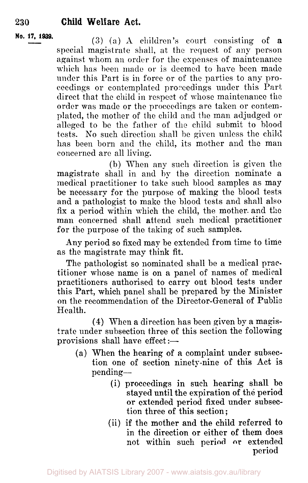**No. 17, 1939. (3)** (a) **A** children's court consisting of a special magistrate shall, at the request of any person against whom an order for the expenses of maintenance which has been made or is deemed to have been made under this Part is in force or of the parties to any proceedings or contemplated proceedings under this Part direct that the child in respect of whose maintenance the order was made or the proceedings are taken or contemplated, the mother of the child and the man adjudged or alleged to be the father of the child submit to blood tests. No such direction shall be given unless the child has been born and the child, its mother and the man concerned arc all living.

> (b) When any such direction is given the magistrate shall in and by the direction nominate a medical practitioner to take such blood samples as may be necessary for the purpose of making the blood tests and a pathologist to make the blood tests and shall also fix a period within which the child, the mother. and the man concerned shall attend such medical practitioner for the purpose of the taking of such samples.

> Any period so fixed may be extended from time to time as the magistrate may think fit.

> The pathologist so nominated shall be a medical practitioner whose name is on a panel of names of medical practitioners authorised to carry out blood tests under this Part, which panel shall be prepared by the Minister on the recommendation of the Director-General of Public Health.

> **(4)** When a direction has been given by a magistrate under subsection three of this section the following provisions shall have effect  $:=$

- (a) When the hearing of a complaint under subsection one of section ninety-nine of this Act is pending-
	- (i) proceedings in such hearing shall **be**  stayed until the expiration **of** the period or extended period fixed under subsection three of this section;
	- (ii) if the mother and the child referred **to**  in the direction or either of them does not within such period or extended period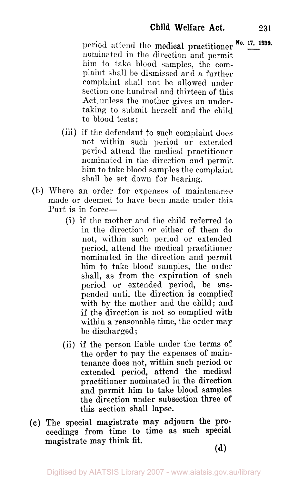period attend the medical practitioner No. 17, 1939. nominated in the direction and permit, him to take blood samples, the complaint shall be dismissed and a further complaint shall not he allowed under section one hundred and thirteen of this Act, unless the mother gives an undertaking to submit herself and the child to blood tests;

- (iii) if the defendant to such complaint does not within such period or extended period attend the medical practitioner nominated in the direction and permit him to take blood samples the complaint shall be set down for hearing.
- (b) Where an order for expenses of maintenance made or deemed to have been made under this Part is in force-
	- (i) if the mother and the child referred to in the direction or either of them do not, within such period or extended period, attend the medical practitioner nominated in the direction and permit him to take blood samples, the order shall, as from the expiration of such period or extended period, be suspended until the direction is complied with by the mother and the child; and if the direction is not so complied with within a reasonable time, the order may be discharged ;
	- (ii) if the person liable under the terms of the order to pay the expenses of maintenance does not, within such period or extended period, attend the medical practitioner nominated in the direction and permit him to take blood samples the direction under subsection three **of**  this section shall lapse.
- (c) The special magistrate may adjourn the proceedings from time **to** time **as** such special magistrate may think fit.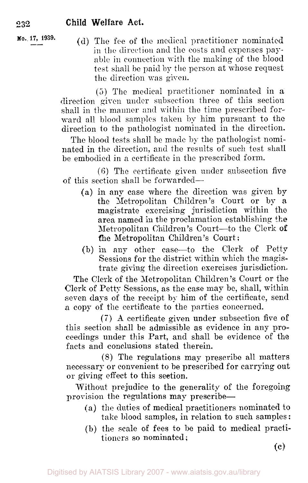**No. 17, 1939.** (d) The fee of the medical practitioner nominated in the direction and the costs and expenses payable in connection with the making of the blood test shall be paid by the person at whose request the direction was given.

> (5) The medical practitioner nominated in a direction given under subsection three of this section shall in the manner and within the time prescribed forward all blood samples taken **by** him pursuant to the direction to the pathologist nominated in the direction.

> The blood tests shall be made by the pathologist nominated in the direction, and the results of such test shall be embodied in a certificate in the prescribed form.

> (6) The certificate given under subsection five of this section shall be forwarded-

- (a) in any case where the direction was given by the Metropolitan Children's Court or by a magistrate exercising jurisdiction within the area named in the proclamation establishing the Metropolitan Children's Court-to the Clerk of the Metropolitan Children's Court :
- (b) in any other case-to the Clerk of Petty Sessions for the district within which the magistrate giving the direction exercises jurisdiction.

The Clerk of the Metropolitan Children's Court or the Clerk of Petty Sessions, as the case may be, shall, within seven days of the receipt by him of the certificate, send a copy of the certificate to the parties concerned.

**(7) A** certificate given under subsection five of this section shall be admissible as evidence in any proceedings under this Part, and shall be evidence of the facts and conclusions stated therein.

(8) The regulations may prescribe all matters necessary or convenient to be prescribed for carrying out or giving effect to this section.

Without prejudice to the generality of the foregoing provision the regulations may prescribe-

- (a) the duties of medical practitioners nominated to take blood samples, in relation to such samples:
- (b) the scale of fees to be paid to medical practitioners so nominated:

(c)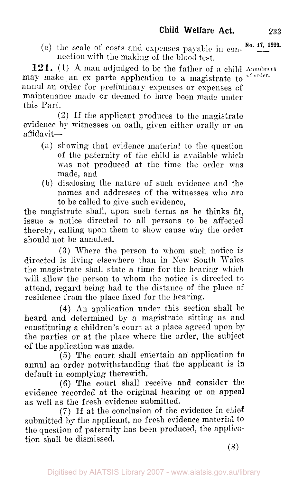(c) the scale of costs and expenses payable in  $\cos^{-1}$  **No. 17, 1939.** nection with the making of the blood test.

**121.** (1) **A** man adjudged to be the father of a child **Annulment**  may make an ex parte application to a magistrate to of order. annul an order for preliminary expenses or expenses of maintenance made or deemed to hare been made under this Part.

(2) If the applicant produces to the magistrate evidence by witnesses on oath, given either orally or on  $a$ ffidavit $-$ 

- (a) showing that evidence material to the question of the paternity of the child is available which was not produced at the time the order was made, and
- (b) disclosing the nature of such evidence and the names and addresses of the witnesses who are to be called to give such evidence,

the magistrate shall, upon such terms as he thinks fit, issue **a** notice directed to all persons to be affected thereby, calling upon them to show cause why the order should not be annulled.

*(3)* Where the person to whom such notice is directed is living elsewhere than in New South Wales the magistrate shall state a time for the hearing which will allow the person to whom the notice is directed to attend, regard being had to the distance of the place of residence from the place fixed for the hearing.

**(4)** An application under this section shall be heard and determined by a magistrate sitting as and constituting a children's court at a place agreed upon by the parties or at the place where the order, the subject of the application was made.

*(5)* The court shall entertain an application to annul an order notwithstanding that the applicant is **in**  default in complying therewith.

(6) The court shall receive and consider the evidence recorded at the original hearing or on **appeal**  as well as the fresh evidence submitted.

*(7)* If at the conclusion of the evidence in **chief**  submitted by the applicant, no fresh evidence material to the question of paternity has been produced, the application shall be dismissed.

(8)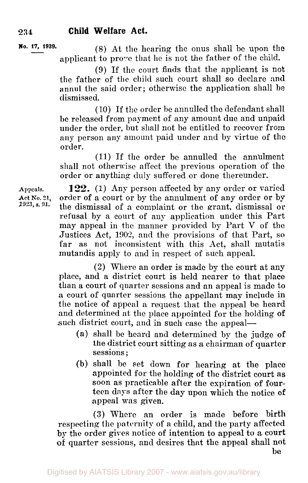**No. 17, 1939.** (8) At the hearing the onus shall be upon the applicant to prove that he is not the father of the child.

> **(9)** If the court finds that the applicant is not the father of the child such court shall so declare and annul the said order; otherwise the application shall be dismissed.

> (10) If the order be annulled the defendant shall **be** released from payment of any amount due and unpaid under the order, but shall not be entitled to recover from any person any amount paid under and by virtue of the order.

> (11) If the order be annulled the annulment shall not otherwise affect the previous operation of the order or anything duly suffered or done thereunder.

Appeals. **122.** (1) Any person affected by any order or varied Act No. 21. order of a court or by the annulment of any order or by Act No. 21, order of a court or by the annulment of any order or by 1923, s. 91, the dismissed of a complement or the great dismissed or *1923, s. 91.* the dismissal of a complaint or the grant, dismissal **or**  refusal by a court of any application under this Part may appeal in the manner provided by Part V of the Justices Act, *1901,* and the provisions of that Part, so **far** as not inconsistent with this Act, shall mutatis mutandis apply to and in respect of such appeal.

> **(2)** Where an order is made by the court at any place, and a district court is held nearer to that place than a court of quarter sessions and an appeal is made to a court of quarter sessions the appellant may include in the notice of appeal a request that the appeal be heard and determined at the place appointed for the holding **of**  such district court, and in such case the appeal-

- **(a)** shall be heard and determined by the judge **of**  the district court sitting as a chairman of quarter sessions ;
- (b) shall be set down for hearing at the place appointed for the holding of the district court **as**  soon as practicable after the expiration of fourteen days after the day upon which the notice **of**  appeal was given.

**(3)** W7here an order is made before birth respecting the paternity of a child, and the party affected **by** the order gives notice of intention to appeal to *a* court **of** quarter sessions, and desires that the appeal shall not

**be**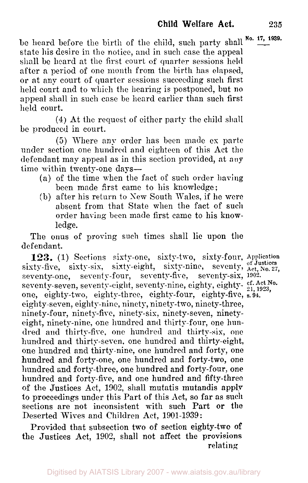be heard before the birth of the child, such party shall No. 17, 1939. state his desire in the notice, **and** in such case the appeal shall be heard at the first court of quarter sessions held after a period of one month from the birth has elapsed, or at any court of quarter sessions succeeding such first held court and to which the hearing is postponed, but no appeal shall in such case be heard earlier than such first held court.

(4) At the request of either party the child shall be produced in court.

*(5)* Where any order has been made ex parte under section one hundred and eighteen of this Act the defendant may appeal as in this section provided, at **any**  time within twenty-one days-

- (a) of the time when the fact of such order having been made first came to his knowledge;
- (b) after his return to Sew South Wales, if he were absent from that State when the fact of such order having been made first came to his knowledge.

The onus of proving such times shall lie upon the **defendant.** 

123. (1) Sections sixty-one, sixty-two, sixty-four, Application sixty-five, sixty-six, sixty-eight, sixty-nine, seventy,  $_{\text{Act, No. 27}}^{\text{of Justices}}$ seventy-one, serenty-four, seventy-five, seventy-six, 1902. seventy-seven, seventy-eight, seventy-nine, eighty, eighty- cf. Act No. one, eighty-two, eighty-three, eighty-four, eighty-five, **s. 94.**  eighty-seven, eighty-nine, ninety, ninety-two, ninety-three, ninety-four, ninety-five, ninety-six, ninety-seven, ninetyeight, ninety-nine, one hundred and thirty-four, one hundred and thirty-five, one hundred and thirty-six, one hundred and thirty-seven, one hundred and thirty-eight, one hundred and thirty-nine, one hundred and forty, one hundred and forty-one, one hundred and forty-two, one hundred and forty-three, one hundred and forty-four, one hundred and forty-five, and one hundred and fifty-three of the Justices Act, 1902, shall mutatis mutandis **apply**  to proceedings under this Part **of** this Act, so far as such sections are not inconsistent with such Part **or** the Deserted Wives and Children Act, 1901-1939 :

Provided that subsection two of section eighty-two **of**  the Justices Act, 1902, shall not affect the provisions relating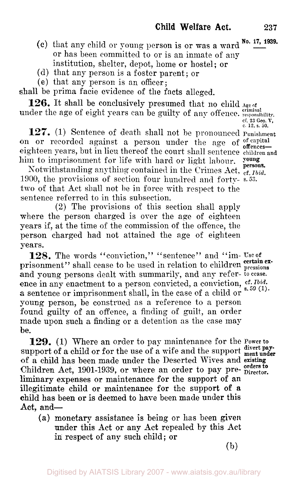- 
- (c) that any child or young person is or was a ward  $N_0$ .  $\frac{17}{17}$ , 1939. or has been committed to or is an inmate of any institution, shelter, depot, home or hostel; or
- (d) that any person is a foster parent; or
- (e) that any person is an officer;

shall be prima facie evidence of the facts alleged.

under the age of eight years can be guilty of any offence. *responsibility*. **126.** It shall be conclusively presumed that no child **Age of** 

**127.** (1) Sentence of death shall not be pronounced Punishment on or recorded against a person under the age of of capital off of recorded against a person under the age of offences—<br>eighteen years, but in lieu thereof the court shall sentence children and him to imprisonment for life with hard or light labour.

Notwithstanding anything contained in the Crimes Act, cf. *Ibid.*  1900, the provisions of section four hundred and forty- **s.** *52.*  two of that Act shall not be in force with respect to the sentence referred to in this subsection.

**(2)** The provisions of this section shall apply where the person charged is over the age of eighteen years if, at the time of the commission of the offence, the person charged had not attained the age of eighteen years.

**128.** The words "conviction," "sentence" and "im- *Use* of prisonment" shall cease to be used in relation to children pressions and young persons dealt with summarily, and any refer- to cease. ence in any enactment to a person convicted, a conviction,  $\frac{cf. Ibid.}{s. 59 (1)}$ . **a** sentence or imprisonment shall, in the case of a child or young person, be construed as a reference to *a* person found guilty of an offence, a finding of guilt, an order made upon such a finding or a detention as the case may  $he.$ 

**129.** (1) Where an order to pay maintenance for the **Power** to support of a child or for the use of a wife and the support  $\frac{divert}{ment}$ of a child has been made under the Deserted Wives and existing Children Act, 1901-1939, or where an order to pay pre- Director. liminary expenses or maintenance for the support of an illegitimate child or maintenance for the support of *a*  child has been or is deemed to have been made under this Act. and-

**(a)** monetary assistance is being or has been **given**  under this Act or any Act repealed by this Act in respect of any such child; or

**(b)** 

*cf. 23 Geo V. c* **12, s. 50.**  young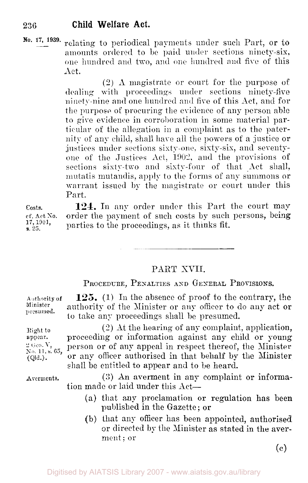**Ro.** 17, 1939. relating to periodical payments under such Part, or to amounts ordered to be paid under sections ninety-six, one hundred and two, and one hundred and five of this Act.

> (2) **A** magistrate or court for the purpose of **dealing** with **proceedings** under sections ninety-five ninety-nine **and** one hundred and fire of this Act, and for the purpose of procuring the evidence of any person able to give evidence in corroboration in some material particular of the allegation in a complaint as to the paternity of any child, shall have all the powers of a justice or justices under sections sixty-one, sixty-six, and seventyone of the Justices **Act,** 1902, and the provisions of sections sixty-two and sixty-four of that Act shall, mutatis mutandis, apply to the forms of any summons or warrant issued **by** the magistrate or court under this Part.

Costs. **cf. Act** *SO.*  **s.**  $25.$ 

**124.** In any order under this Part the court may order the payment of such costs by such persons, being parties to the proceedings, as it thinks fit.

#### PART XVII.

PROCEDURE, PENALTIES **AND GENERAL** PROVISiONS.

**125.** (1) In the absence of proof to the contrary, the authority of the Minister or any officer to do any act or to take any proceedings shall be presumed. Authority of **Minister presumed.** 

(2) At the hearing of any complaint, application, proceeding or information against any child or young person or of any appeal in respect thereof, the Minister or any officer authorised in that behalf by the Minister shall be entitled to appear and to be heard. *No* 11, **s.** *65,* 

> **(3)** An averment in any complaint or information made or laid under this Act-

- (a) that any proclamation or regulation has been published in the Gazette; or
- (b) that any officer has been appointed, authorised or directed by the Minister as stated in the averment; or

*(c)* 

**Averments.** 

Right to **appear.**  2 Geo. V,  $(Qld.)$ .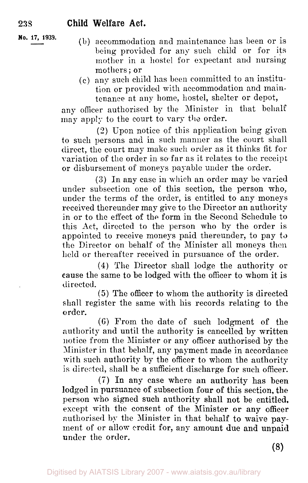**No. 17, 1939.** 

- (b) accommodation and maintenance has been or is being provided for any such child or for its mother in a hostel for expectant and nursing mothers ; or
- (c) any such child has been committed to an institution or provided with accommodation and maintenance at any home, hostel, shelter or depot,

any officer authorised by the Minister in that behalf may apply to the court to vary the order.

**(2)** Upon notice of this application being given to such persons and in such manner as the court shall direct, the court may make such order as it thinks fit for variation of the order in so far as it relates to the receipt or disbursement of moneys payable under the order.

**(3)** In any case in which an order may be varied under subsection one of this section, the person who, under the terms of the order, is entitled to any moneys received thereunder may give to the Director an authority in or to the effect of the form in the Second Schedule to this Act, directed to the person who by the order is appointed to receive moneys paid thereunder, to pay to the Director on behalf of the Minister all moneys then held or thereafter received in pursuance of the order.

**(4)** The Director shall lodge the authority or cause the same to be lodged with the officer to whom it is directed.

*(5)* The officer to whom the authority is directed shall register the same with his records relating to the order.

(6) From the date of such lodgment of the authority and until the authority is cancelled by written notice from the Minister or any officer authorised by the Minister in that behalf, any payment made in accordance with such authority by the officer to whom the authority is directed, shall be a sufficient discharge for such officer.

*(i)* In any case where an authority has been **lodged** in pursuance **of** subsection four **of** this section, the person who signed such authority shall not be entitled, except with the consent of the Minister or any officer authorised by the Minister in that behalf to waive payment of or allow credit for, any amount due and unpaid under the **order.**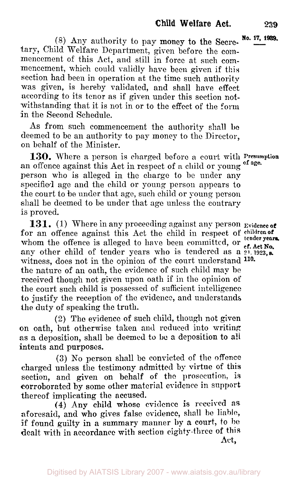$\frac{1}{2}$  (8) Any authority to pay money to the Secre-<sup>No. 17, 1939.</sup> tary, Child Welfare Department, given before the commencement of this Act, and still in force at such commencement, which could validly have been given if this section had been in operation at the time such authority was given, is hereby validated, and shall have effect according to its tenor as if given under this section notwithstanding that it is not in or to the effect of the form in the Second Schedule.

As from such commencement the authority shall **be**  deemed to be an authority to pay money to the Director, on behalf of the Minister.

an offence against this Act in respect of **a** child or young **of age.**  person who is alleged in the charge to be under any specified age and the child or young person appears to the court to be under that age, such child or young person shall be deemed to be under that age unless the contrary is proved. **130.** Where a person is charged before a court with **Presumption** 

**131.** (1) Where in any proceeding against any person **Evidence** of for an offence against this Act the child in respect of children of whom the offence is alleged to have been committed, or **constant No.** any other child of tender years who is tendered as a 2<sup>1</sup>, 1923, a. witness, does not in the opinion of the court understand **110.**  the nature of an oath, the evidence of such child map be received though not given upon oath if in the opinion of the court such child is possessed of sufficient intelligence to justify the reception of the evidence, and understands the duty of speaking the truth.

(2) The evidence of such child, though not given on oath, but otherwise taken and reduced into writing **as** a deposition, shall be deemed to **be** a deposition to all intents and purposes.

**(3)** No person shall be convicted of the offence charged unless the testimony admitted by virtue of this section, and given on behalf of the prosecution, is corroborated **by** some other material evidence in support thereof implicating the accused.

aforesaid, and who gives false evidence, shall be liable, if found guilty in a summary manner by a court, to be dealt with in accordance with section eighty-three of this Act, **(4) Any** child **whose** evidence is received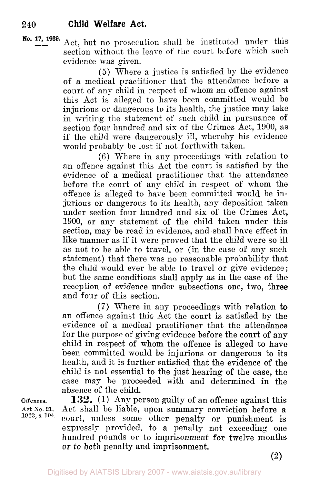Act, but no prosecution shall be instituted under this section without the leave of the court before which such **No. 17, 1939.**  evidence was given.

> (5) Where a justice is satisfied by the evidence of a medical practitioner that the attendance before **a**  court of any child in respect of whom an offence against this Act is alleged to have been committed mould be injurious or dangerous to its health, the justice may take in writing the statement of such child in pursuance of section four hundred and six of the Crimes Act, 1900, as if the child were dangerously ill, whereby his evidence would probably be lost if not forthwith taken.

> (6) Where in any proceedings with relation to an offence against this Act the court is satisfied by the evidence of a medical practitioner that the attendance before the court of any child in respect of whom the offence is alleged to have been committed would be injurious or dangerous to its health, any deposition taken under section four hundred and six of the Crimes Act, 1900, or any statement of the child taken under this section, may be read in evidence, and shall have effect in like manner as if it were proved that the child mere so ill as not to be able to travel, or (in the case of any such statement) that there was no reasonable probability that the child would ever be able to travel or give evidence; but the same conditions shall apply as in the case of the reception of evidence under subsections one, two, three and four of this section.

> **(7)** Where in any proceedings with relation **to**  an offence against this Act the court is satisfied by the evidence of a medical practitioner that the attendance for the purpose of giving evidence before the court of any child in respect of whom the offence is alleged to have been committed would be injurious **or** dangerous to its health, and it is further satisfied that the evidence of the child is not essential to the just hearing **of** the case, the case may be proceeded with and determined in the absence of the child.

**Offences.** 

**Act** *So.* **21, 1923, s. 104.** 

**133. (1) Any** person guilty of an offence against this Act shall be liable, upon summary conviction before a court, unless some other penalty or punishment is expressly prorided, to a penalty not exceeding one hundred pounds or to imprisonment for twelve months or to both penalty and imprisonment.

**(2)**